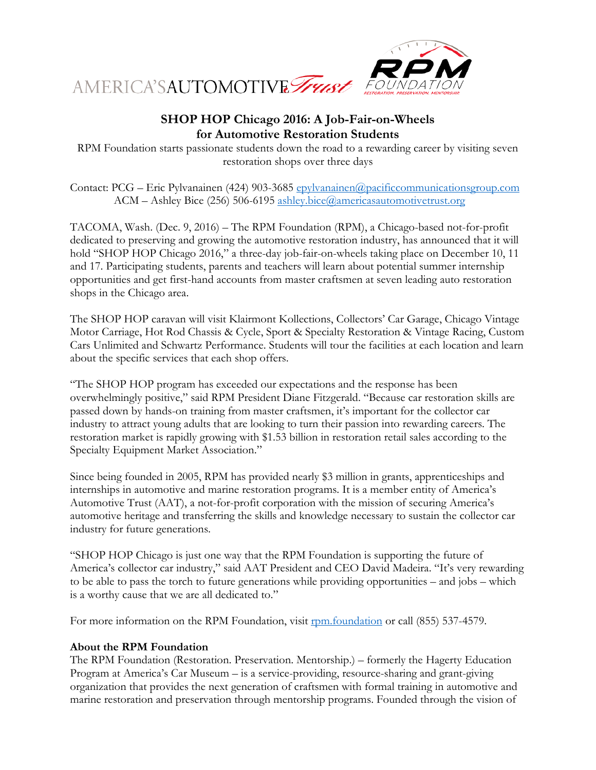

## **SHOP HOP Chicago 2016: A Job-Fair-on-Wheels for Automotive Restoration Students**

RPM Foundation starts passionate students down the road to a rewarding career by visiting seven restoration shops over three days

Contact: PCG – Eric Pylvanainen (424) 903-3685 [epylvanainen@pacificcommunicationsgroup.com](mailto:epylvanainen@pacificcommunicationsgroup.com) ACM – Ashley Bice (256) 506-6195 [ashley.bice@americasautomotivetrust.org](mailto:ashley.bice@americasautomotivetrust.org)

TACOMA, Wash. (Dec. 9, 2016) – The RPM Foundation (RPM), a Chicago-based not-for-profit dedicated to preserving and growing the automotive restoration industry, has announced that it will hold "SHOP HOP Chicago 2016," a three-day job-fair-on-wheels taking place on December 10, 11 and 17. Participating students, parents and teachers will learn about potential summer internship opportunities and get first-hand accounts from master craftsmen at seven leading auto restoration shops in the Chicago area.

The SHOP HOP caravan will visit Klairmont Kollections, Collectors' Car Garage, Chicago Vintage Motor Carriage, Hot Rod Chassis & Cycle, Sport & Specialty Restoration & Vintage Racing, Custom Cars Unlimited and Schwartz Performance. Students will tour the facilities at each location and learn about the specific services that each shop offers.

"The SHOP HOP program has exceeded our expectations and the response has been overwhelmingly positive," said RPM President Diane Fitzgerald. "Because car restoration skills are passed down by hands-on training from master craftsmen, it's important for the collector car industry to attract young adults that are looking to turn their passion into rewarding careers. The restoration market is rapidly growing with \$1.53 billion in restoration retail sales according to the Specialty Equipment Market Association."

Since being founded in 2005, RPM has provided nearly \$3 million in grants, apprenticeships and internships in automotive and marine restoration programs. It is a member entity of America's Automotive Trust (AAT), a not-for-profit corporation with the mission of securing America's automotive heritage and transferring the skills and knowledge necessary to sustain the collector car industry for future generations.

"SHOP HOP Chicago is just one way that the RPM Foundation is supporting the future of America's collector car industry," said AAT President and CEO David Madeira. "It's very rewarding to be able to pass the torch to future generations while providing opportunities – and jobs – which is a worthy cause that we are all dedicated to."

For more information on the RPM Foundation, visit [rpm.foundation](http://www.rpm.foundation/) or call (855) 537-4579.

## **About the RPM Foundation**

The RPM Foundation (Restoration. Preservation. Mentorship.) – formerly the Hagerty Education Program at America's Car Museum – is a service-providing, resource-sharing and grant-giving organization that provides the next generation of craftsmen with formal training in automotive and marine restoration and preservation through mentorship programs. Founded through the vision of